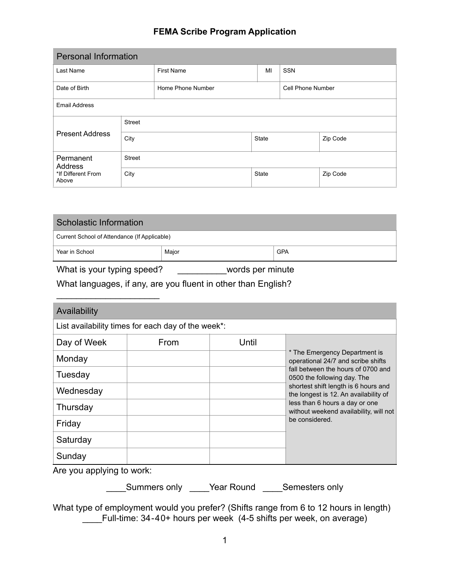## **FEMA Scribe Program Application**

| <b>Personal Information</b>           |               |                   |              |                   |          |
|---------------------------------------|---------------|-------------------|--------------|-------------------|----------|
| Last Name                             |               | <b>First Name</b> | MI           | <b>SSN</b>        |          |
| Home Phone Number<br>Date of Birth    |               |                   |              | Cell Phone Number |          |
| <b>Email Address</b>                  |               |                   |              |                   |          |
|                                       | <b>Street</b> |                   |              |                   |          |
| <b>Present Address</b><br>City        |               |                   | <b>State</b> |                   | Zip Code |
| <b>Street</b><br>Permanent<br>Address |               |                   |              |                   |          |
| *If Different From<br>Above           | City          |                   | <b>State</b> |                   | Zip Code |

| Scholastic Information                       |  |  |  |  |
|----------------------------------------------|--|--|--|--|
| Current School of Attendance (If Applicable) |  |  |  |  |
| <b>GPA</b><br>Year in School<br>Major        |  |  |  |  |

What is your typing speed? \_\_\_\_\_\_\_\_\_words per minute

What languages, if any, are you fluent in other than English?

| Availability |                                                    |       |                                                                               |  |
|--------------|----------------------------------------------------|-------|-------------------------------------------------------------------------------|--|
|              | List availability times for each day of the week*: |       |                                                                               |  |
| Day of Week  | From                                               | Until |                                                                               |  |
| Monday       |                                                    |       | * The Emergency Department is<br>operational 24/7 and scribe shifts           |  |
| Tuesday      |                                                    |       | fall between the hours of 0700 and<br>0500 the following day. The             |  |
| Wednesday    |                                                    |       | shortest shift length is 6 hours and<br>the longest is 12. An availability of |  |
| Thursday     |                                                    |       | less than 6 hours a day or one<br>without weekend availability, will not      |  |
| Friday       |                                                    |       | be considered.                                                                |  |
| Saturday     |                                                    |       |                                                                               |  |
| Sunday       |                                                    |       |                                                                               |  |

Are you applying to work:

\_\_\_\_Summers only \_\_\_\_Year Round \_\_\_\_Semesters only

What type of employment would you prefer? (Shifts range from 6 to 12 hours in length) \_\_\_\_Full-time: 34-40+ hours per week (4-5 shifts per week, on average)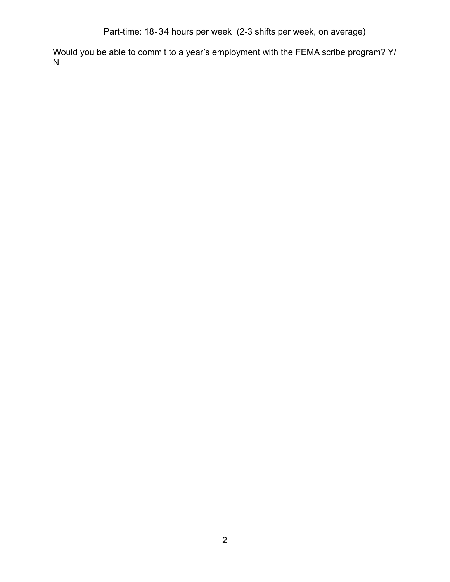Lettrime: 18-34 hours per week (2-3 shifts per week, on average)

Would you be able to commit to a year's employment with the FEMA scribe program? Y/ N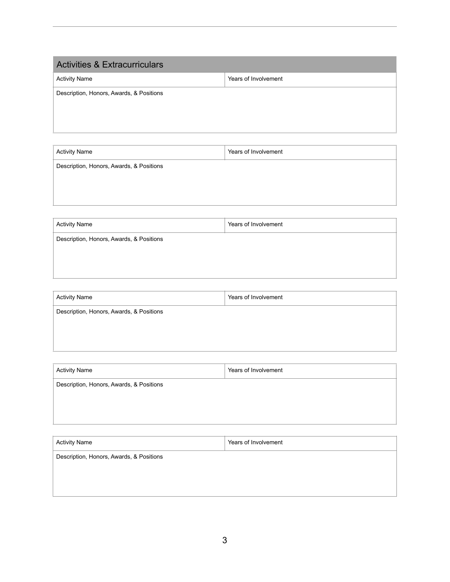| <b>Activities &amp; Extracurriculars</b> |                      |  |
|------------------------------------------|----------------------|--|
| <b>Activity Name</b>                     | Years of Involvement |  |
| Description, Honors, Awards, & Positions |                      |  |

| <b>Activity Name</b>                     | Years of Involvement |
|------------------------------------------|----------------------|
| Description, Honors, Awards, & Positions |                      |
|                                          |                      |
|                                          |                      |
|                                          |                      |

| <b>Activity Name</b>                     | Years of Involvement |
|------------------------------------------|----------------------|
| Description, Honors, Awards, & Positions |                      |
|                                          |                      |
|                                          |                      |
|                                          |                      |

| <b>Activity Name</b>                     | Years of Involvement |
|------------------------------------------|----------------------|
| Description, Honors, Awards, & Positions |                      |
|                                          |                      |
|                                          |                      |

| <b>Activity Name</b>                     | Years of Involvement |
|------------------------------------------|----------------------|
| Description, Honors, Awards, & Positions |                      |
|                                          |                      |
|                                          |                      |

| <b>Activity Name</b>                     | Years of Involvement |
|------------------------------------------|----------------------|
| Description, Honors, Awards, & Positions |                      |
|                                          |                      |
|                                          |                      |
|                                          |                      |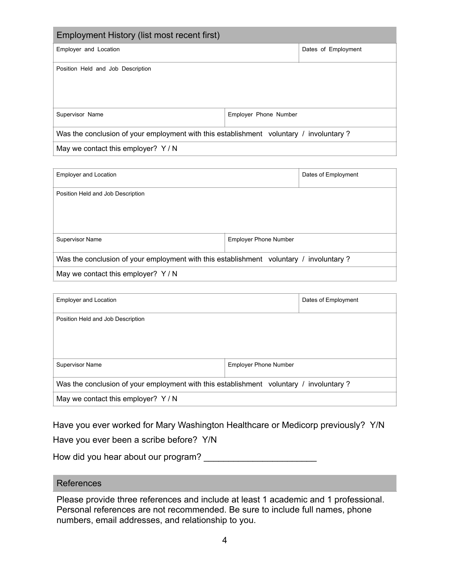| Employment History (list most recent first)                                            |                       |                     |  |
|----------------------------------------------------------------------------------------|-----------------------|---------------------|--|
| Employer and Location                                                                  |                       | Dates of Employment |  |
| Position Held and Job Description                                                      |                       |                     |  |
| Supervisor Name                                                                        | Employer Phone Number |                     |  |
| Was the conclusion of your employment with this establishment voluntary / involuntary? |                       |                     |  |
| May we contact this employer? $Y/N$                                                    |                       |                     |  |

| <b>Employer and Location</b>                                                           |                              | Dates of Employment |
|----------------------------------------------------------------------------------------|------------------------------|---------------------|
| Position Held and Job Description                                                      |                              |                     |
| Supervisor Name                                                                        | <b>Employer Phone Number</b> |                     |
| Was the conclusion of your employment with this establishment voluntary / involuntary? |                              |                     |
| May we contact this employer? Y/N                                                      |                              |                     |

| <b>Employer and Location</b>                                                           |                              | Dates of Employment |
|----------------------------------------------------------------------------------------|------------------------------|---------------------|
| Position Held and Job Description                                                      |                              |                     |
| <b>Supervisor Name</b>                                                                 | <b>Employer Phone Number</b> |                     |
| Was the conclusion of your employment with this establishment voluntary / involuntary? |                              |                     |
| May we contact this employer? Y/N                                                      |                              |                     |

Have you ever worked for Mary Washington Healthcare or Medicorp previously? Y/N

Have you ever been a scribe before? Y/N

How did you hear about our program?

## References

Please provide three references and include at least 1 academic and 1 professional. Personal references are not recommended. Be sure to include full names, phone numbers, email addresses, and relationship to you.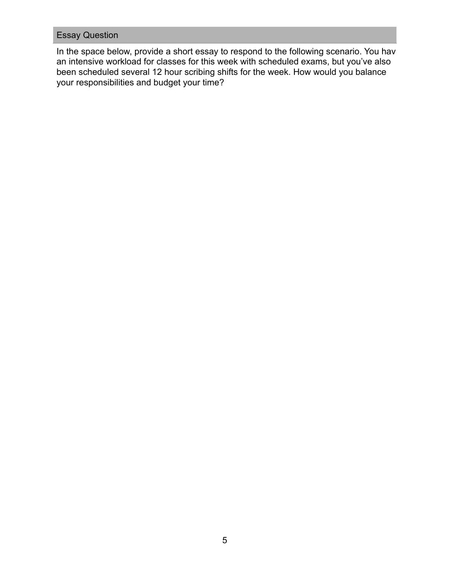## Essay Question

In the space below, provide a short essay to respond to the following scenario. You have an intensive workload for classes for this week with scheduled exams, but you've also been scheduled several 12 hour scribing shifts for the week. How would you balance your responsibilities and budget your time?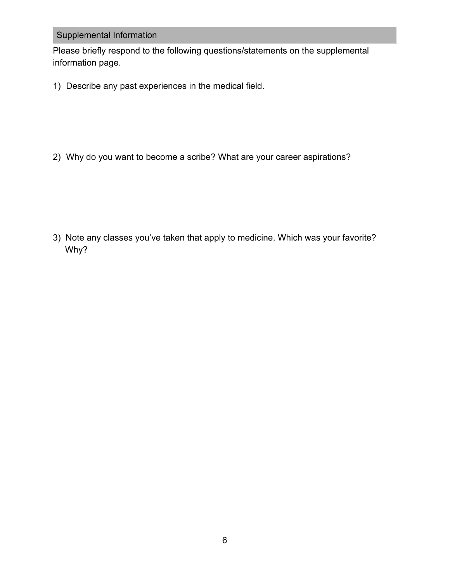## Supplemental Information

Please briefly respond to the following questions/statements on the supplemental information page.

1) Describe any past experiences in the medical field.

2) Why do you want to become a scribe? What are your career aspirations?

3) Note any classes you've taken that apply to medicine. Which was your favorite? Why?